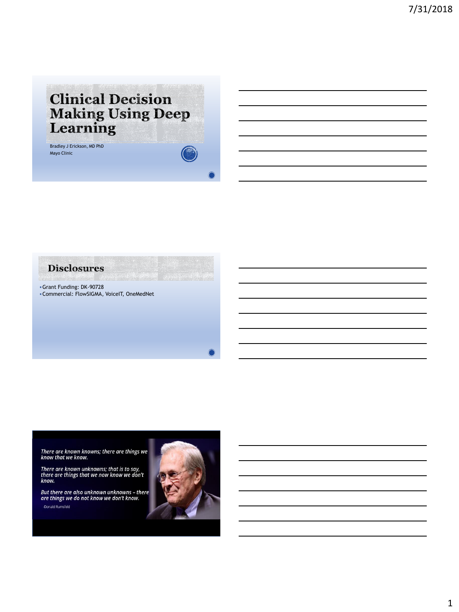# **Clinical Decision Making Using Deep**<br>Learning

Bradley J Erickson, MD PhD Mayo Clinic

#### **Disclosures**

▪Grant Funding: DK-90728 ▪Commercial: FlowSIGMA, VoiceIT, OneMedNet

∩

There are known knowns; there are things we<br>know that we know.

There are known unknowns; that is to say,<br>there are things that we now know we don't know.

But there are also unknown unknowns – there<br>are things we do not know we don't know. -Donald Rumsfeld

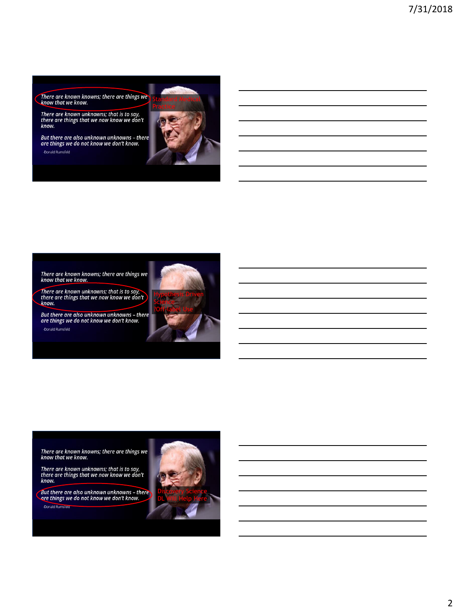There are known knowns; there are things we<br>know that we know.

There are known unknowns; that is to say,<br>there are things that we now know we don't know.

But there are also unknown unknowns – there<br>are things we do not know we don't know. -Donald Rumsfeld



There are known knowns; there are things we<br>know that we know.

There are known unknowns; that is to say,<br>there are things that we now know we don't know.

But there are also unknown unknowns - there<br>are things we do not know we don't know. -Donald Rumsfeld



There are known knowns; there are things we<br>know that we know.

There are known unknowns; that is to say,<br>there are things that we now know we don't know.

But there are also unknown unknowns - there<br>are things we do not know we don't know. -Donald Rumsfeld

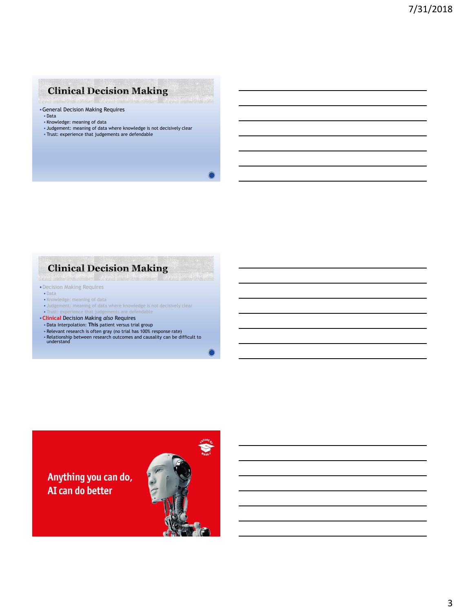## **Clinical Decision Making**

- ▪General Decision Making Requires
- Data
- Knowledge: meaning of data
- Judgement: meaning of data where knowledge is not decisively clear
- Trust: experience that judgements are defendable

◯

#### **Clinical Decision Making**

- **.** Decision Making Requires
- Data
- Knowledge: meaning of data
- Judgement: meaning of data where knowledge is not decisively clear ▪ Trust: experience that judgements are defendable
- ▪**Clinical** Decision Making *also* Requires
	-
	- Data Interpolation: **This** patient versus trial group Relevant research is often gray (no trial has 100% response rate)
	- Relationship between research outcomes and causality can be difficult to understand

◠

Anything you can do, AI can do better

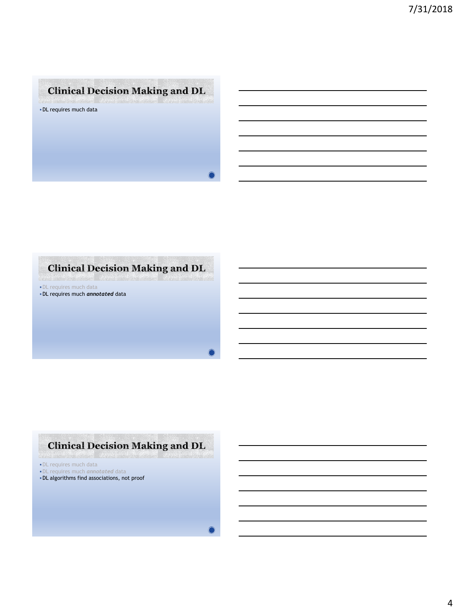# **Clinical Decision Making and DL**

▪DL requires much data

 $\bigcirc$ 

### **Clinical Decision Making and DL**

▪DL requires much data

▪DL requires much *annotated* data

 $\bigcirc$ 

# **Clinical Decision Making and DL**

- · DL requires much data
- ▪DL requires much *annotated* data
- ▪DL algorithms find associations, not proof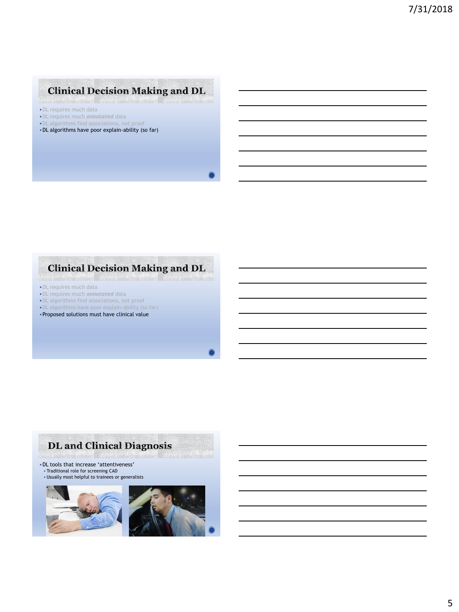#### **Clinical Decision Making and DL**

- ▪DL requires much data
- ▪DL requires much *annotated* data
- ▪DL algorithms find associations, not proof ▪DL algorithms have poor explain-ability (so far)

O

### **Clinical Decision Making and DL**

- ▪DL requires much data
- ▪DL requires much *annotated* data
- ▪DL algorithms find associations, not proof
- ▪DL algorithms have poor explain-ability (so far)
- ▪Proposed solutions must have clinical value

◠

# DL and Clinical Diagnosis

▪DL tools that increase 'attentiveness' ▪ Traditional role for screening CAD ▪ Usually most helpful to trainees or generalists

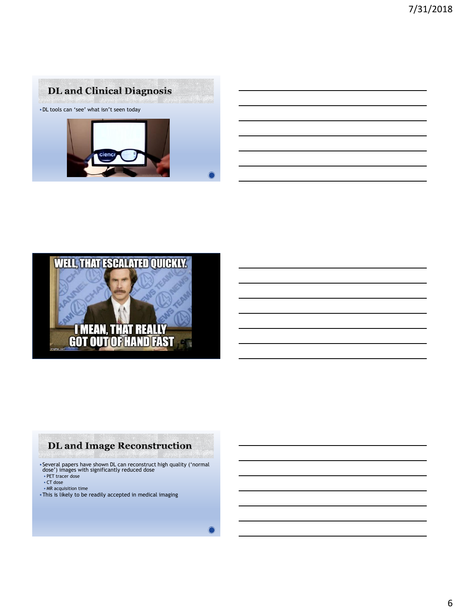



#### **DL** and Image Reconstruction

▪ Several papers have shown DL can reconstruct high quality ('normal dose') images with significantly reduced dose ▪ PET tracer dose

- 
- CT dose
- 
- MR acquisition time ▪This is likely to be readily accepted in medical imaging

 $\bullet$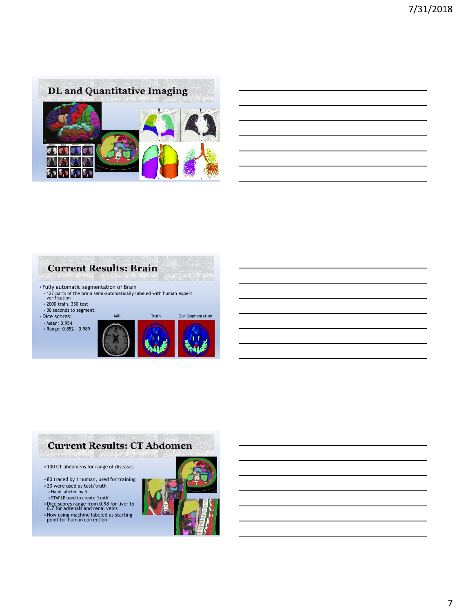

#### **Current Results: Brain** ▪Fully automatic segmentation of Brain ▪ 127 parts of the brain semi-automatically labeled with human expert verification ▪ 2000 train, 350 test ▪ 30 seconds to segment! MRI Truth Our Segmentation ▪Dice scores: ▪ Mean: 0.954 ▪ Range: 0.852 – 0.989

#### **Current Results: CT Abdomen**

▪ 100 CT abdomens for range of diseases

- 80 traced by 1 human, used for training ▪ 20 were used as test/truth
- Hand labeled by 5 ▪ STAPLE used to create 'truth'
- 
- 
- Dice scores range from 0.98 for liver to 0.7 for adrenals and renal veins Now using machine labeled as starting point for human correction

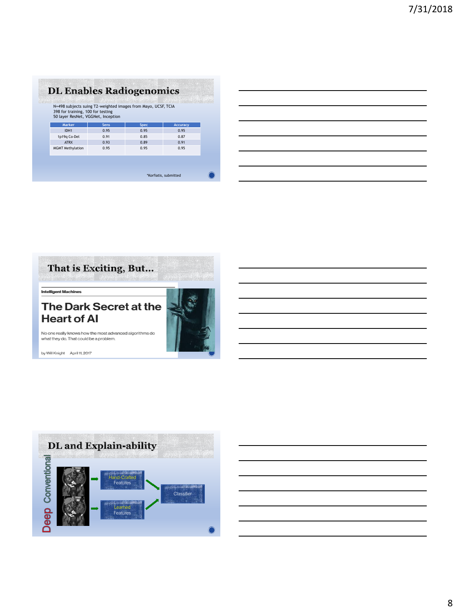### **DL Enables Radiogenomics**

N=498 subjects suing T2-weighted images from Mayo, UCSF, TCIA 398 for training, 100 for testing 50 layer ResNet, VGGNet, Inception

| 0.95<br>0.95<br>0.95<br>IDH1<br>0.91<br>0.85<br>0.87<br>1p19q Co-Del<br>0.89<br>0.91<br>0.93<br><b>ATRX</b><br>0.95<br>0.95<br>0.95<br><b>MGMT Methylation</b> | Marker | Sens | Spec | Accuracy |
|----------------------------------------------------------------------------------------------------------------------------------------------------------------|--------|------|------|----------|
|                                                                                                                                                                |        |      |      |          |
|                                                                                                                                                                |        |      |      |          |
|                                                                                                                                                                |        |      |      |          |
|                                                                                                                                                                |        |      |      |          |

\*Korfiatis, submitted



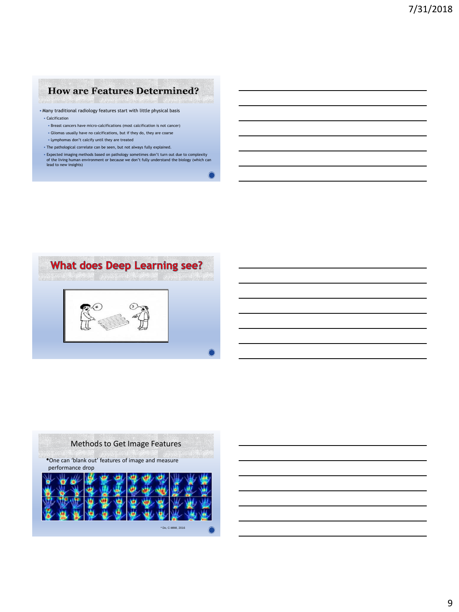#### **How are Features Determined?**

▪ Many traditional radiology features start with little physical basis

- Calcification
- Breast cancers have micro-calcifications (most calcification is not cancer)
- Gliomas usually have no calcifications, but if they do, they are coarse
- Lymphomas don't calcify until they are treated
- The pathological correlate can be seen, but not always fully explained.
- Expected imaging methods based on pathology sometimes don't turn out due to complexity of the living human environment or because we don't fully understand the biology (which can lead to new insights)





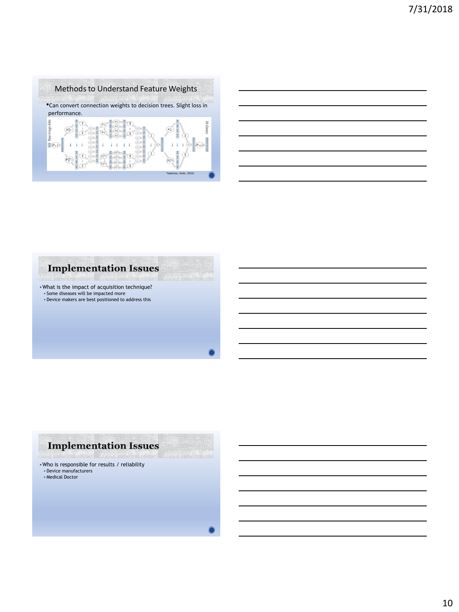

#### **Implementation Issues**

▪What is the impact of acquisition technique? ▪ Some diseases will be impacted more

▪ Device makers are best positioned to address this

◠

# **Implementation Issues**

▪Who is responsible for results / reliability ▪ Device manufacturers ▪ Medical Doctor